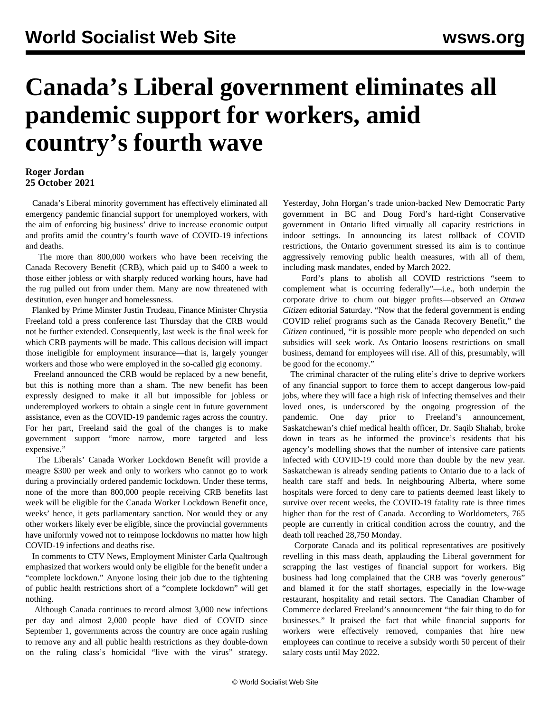## **Canada's Liberal government eliminates all pandemic support for workers, amid country's fourth wave**

## **Roger Jordan 25 October 2021**

 Canada's Liberal minority government has effectively eliminated all emergency pandemic financial support for unemployed workers, with the aim of enforcing big business' drive to increase economic output and profits amid the country's fourth wave of COVID-19 infections and deaths.

 The more than 800,000 workers who have been receiving the Canada Recovery Benefit (CRB), which paid up to \$400 a week to those either jobless or with sharply reduced working hours, have had the rug pulled out from under them. Many are now threatened with destitution, even hunger and homelessness.

 Flanked by Prime Minster Justin Trudeau, Finance Minister Chrystia Freeland told a press conference last Thursday that the CRB would not be further extended. Consequently, last week is the final week for which CRB payments will be made. This callous decision will impact those ineligible for employment insurance—that is, largely younger workers and those who were employed in the so-called gig economy.

 Freeland announced the CRB would be replaced by a new benefit, but this is nothing more than a sham. The new benefit has been expressly designed to make it all but impossible for jobless or underemployed workers to obtain a single cent in future government assistance, even as the COVID-19 pandemic rages across the country. For her part, Freeland said the goal of the changes is to make government support "more narrow, more targeted and less expensive."

 The Liberals' Canada Worker Lockdown Benefit will provide a meagre \$300 per week and only to workers who cannot go to work during a provincially ordered pandemic lockdown. Under these terms, none of the more than 800,000 people receiving CRB benefits last week will be eligible for the Canada Worker Lockdown Benefit once, weeks' hence, it gets parliamentary sanction. Nor would they or any other workers likely ever be eligible, since the provincial governments have uniformly vowed not to reimpose lockdowns no matter how high COVID-19 infections and deaths rise.

 In comments to CTV News, Employment Minister Carla Qualtrough emphasized that workers would only be eligible for the benefit under a "complete lockdown." Anyone losing their job due to the tightening of public health restrictions short of a "complete lockdown" will get nothing.

 Although Canada continues to record almost 3,000 new infections per day and almost 2,000 people have died of COVID since September 1, governments across the country are once again rushing to remove any and all public health restrictions as they double-down on the ruling class's homicidal "live with the virus" strategy.

Yesterday, John Horgan's trade union-backed New Democratic Party government in BC and Doug Ford's hard-right Conservative government in Ontario lifted virtually all capacity restrictions in indoor settings. In announcing its latest rollback of COVID restrictions, the Ontario government stressed its aim is to continue aggressively removing public health measures, with all of them, including mask mandates, ended by March 2022.

 Ford's plans to abolish all COVID restrictions "seem to complement what is occurring federally"—i.e., both underpin the corporate drive to churn out bigger profits—observed an *Ottawa Citizen* editorial Saturday. "Now that the federal government is ending COVID relief programs such as the Canada Recovery Benefit," the *Citizen* continued, "it is possible more people who depended on such subsidies will seek work. As Ontario loosens restrictions on small business, demand for employees will rise. All of this, presumably, will be good for the economy."

 The criminal character of the ruling elite's drive to deprive workers of any financial support to force them to accept dangerous low-paid jobs, where they will face a high risk of infecting themselves and their loved ones, is underscored by the ongoing progression of the pandemic. One day prior to Freeland's announcement, Saskatchewan's chief medical health officer, Dr. Saqib Shahab, broke down in tears as he informed the province's residents that his agency's modelling shows that the number of intensive care patients infected with COVID-19 could more than double by the new year. Saskatchewan is already sending patients to Ontario due to a lack of health care staff and beds. In neighbouring Alberta, where some hospitals were forced to deny care to patients deemed least likely to survive over recent weeks, the COVID-19 fatality rate is three times higher than for the rest of Canada. According to Worldometers, 765 people are currently in critical condition across the country, and the death toll reached 28,750 Monday.

 Corporate Canada and its political representatives are positively revelling in this mass death, applauding the Liberal government for scrapping the last vestiges of financial support for workers. Big business had long complained that the CRB was "overly generous" and blamed it for the staff shortages, especially in the low-wage restaurant, hospitality and retail sectors. The Canadian Chamber of Commerce declared Freeland's announcement "the fair thing to do for businesses." It praised the fact that while financial supports for workers were effectively removed, companies that hire new employees can continue to receive a subsidy worth 50 percent of their salary costs until May 2022.